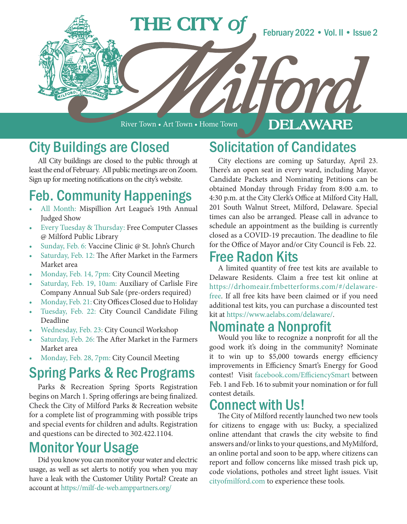

River Town • Art Town • Home Town

#### DELAWARE

# City Buildings are Closed

All City buildings are closed to the public through at least the end of February. All public meetings are on Zoom. Sign up for meeting notifications on the city's website.

# Feb. Community Happenings

- All Month: Mispillion Art League's 19th Annual Judged Show
- Every Tuesday & Thursday: Free Computer Classes @ Milford Public Library
- Sunday, Feb. 6: Vaccine Clinic @ St. John's Church
- Saturday, Feb. 12: The After Market in the Farmers Market area
- Monday, Feb. 14, 7pm: City Council Meeting
- Saturday, Feb. 19, 10am: Auxiliary of Carlisle Fire Company Annual Sub Sale (pre-orders required)
- Monday, Feb. 21: City Offices Closed due to Holiday
- Tuesday, Feb. 22: City Council Candidate Filing Deadline
- Wednesday, Feb. 23: City Council Workshop
- Saturday, Feb. 26: The After Market in the Farmers Market area
- Monday, Feb. 28, 7pm: City Council Meeting

## Spring Parks & Rec Programs

Parks & Recreation Spring Sports Registration begins on March 1. Spring offerings are being finalized. Check the City of Milford Parks & Recreation website for a complete list of programming with possible trips and special events for children and adults. Registration and questions can be directed to 302.422.1104.

# Monitor Your Usage

Did you know you can monitor your water and electric usage, as well as set alerts to notify you when you may have a leak with the Customer Utility Portal? Create an account at https://milf-de-web.amppartners.org/

# Solicitation of Candidates

City elections are coming up Saturday, April 23. There's an open seat in every ward, including Mayor. Candidate Packets and Nominating Petitions can be obtained Monday through Friday from 8:00 a.m. to 4:30 p.m. at the City Clerk's Office at Milford City Hall, 201 South Walnut Street, Milford, Delaware. Special times can also be arranged. Please call in advance to schedule an appointment as the building is currently closed as a COVID-19 precaution. The deadline to file for the Office of Mayor and/or City Council is Feb. 22.

#### Free Radon Kits

A limited quantity of free test kits are available to Delaware Residents. Claim a free test kit online at https://drhomeair.fmbetterforms.com/#/delawarefree. If all free kits have been claimed or if you need additional test kits, you can purchase a discounted test kit at https://www.aelabs.com/delaware/.

### Nominate a Nonprofit

Would you like to recognize a nonprofit for all the good work it's doing in the community? Nominate it to win up to \$5,000 towards energy efficiency improvements in Efficiency Smart's Energy for Good contest! Visit facebook.com/EfficiencySmart between Feb. 1 and Feb. 16 to submit your nomination or for full contest details.

## Connect with Us!

The City of Milford recently launched two new tools for citizens to engage with us: Bucky, a specialized online attendant that crawls the city website to find answers and/or links to your questions, and MyMilford, an online portal and soon to be app, where citizens can report and follow concerns like missed trash pick up, code violations, potholes and street light issues. Visit cityofmilford.com to experience these tools.